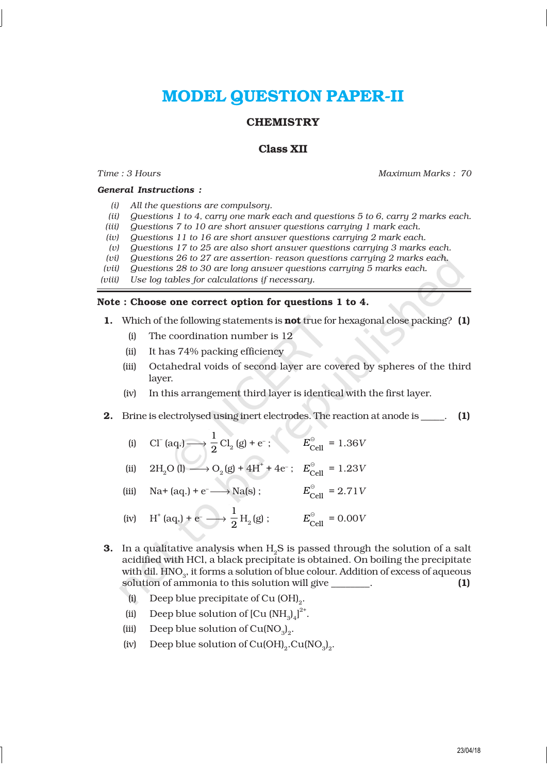# MODEL QUESTION PAPER-II

# **CHEMISTRY**

# Class XII

### *General Instructions :*

*Time : 3 Hours Maximum Marks : 70*

- *(i) All the questions are compulsory.*
- *(ii) Questions 1 to 4, carry one mark each and questions 5 to 6, carry 2 marks each.*
- *(iii) Questions 7 to 10 are short answer questions carrying 1 mark each.*
- *(iv) Questions 11 to 16 are short answer questions carrying 2 mark each.*
- *(v) Questions 17 to 25 are also short answer questions carrying 3 marks each.*
- *(vi) Questions 26 to 27 are assertion- reason questions carrying 2 marks each.*
- *(vii) Questions 28 to 30 are long answer questions carrying 5 marks each.*
- *(viii) Use log tables for calculations if necessary.*

### Note : Choose one correct option for questions 1 to 4.

- 1. Which of the following statements is **not** true for hexagonal close packing? (1)
	- (i) The coordination number is 12
	- (ii) It has 74% packing efficiency
	- (iii) Octahedral voids of second layer are covered by spheres of the third layer.
	- (iv) In this arrangement third layer is identical with the first layer.
- 2. Brine is electrolysed using inert electrodes. The reaction at anode is \_\_\_\_\_. (1)
	- (i) Cl<sup>-</sup> (aq.)  $\longrightarrow \frac{1}{2}$  $\frac{1}{2}$  Cl<sub>2</sub> (g) + e<sup>-</sup>;  $E_{\text{Cell}}^{\circ} = 1.36V$
	- (ii)  $2H_2O(l) \longrightarrow O_2(g) + 4H^+ + 4e^-$ ;  $E_{Cell}^{\circ} = 1.23V$
	- (iii) Na+ (aq.) + e<sup>-</sup>  $\longrightarrow$  Na(s);  $E_{\text{Cell}}^{\circ} = 2.71V$
	- (iv)  $H^+(aq.) + e^- \longrightarrow \frac{1}{2}$  $\frac{1}{2}$  H<sub>2</sub>(g) ;  $E_{\text{Cell}}^{\circ} = 0.00V$
- **3.** In a qualitative analysis when  $H<sub>o</sub>S$  is passed through the solution of a salt acidified with HCl, a black precipitate is obtained. On boiling the precipitate with dil.  $\mathrm{HNO}_3^{}$ , it forms a solution of blue colour. Addition of excess of aqueous solution of ammonia to this solution will give results as  $(1)$ 
	- (i) Deep blue precipitate of Cu  $(OH)_2$ .
	- (ii) Deep blue solution of  $\left[ Cu \left( NH_3 \right)_4 \right]^{2^+}$ .
	- (iii) Deep blue solution of  $Cu(NO<sub>3</sub>)<sub>2</sub>$ .
	- (iv) Deep blue solution of Cu(OH)<sub>2</sub>.Cu(NO<sub>3</sub>)<sub>2</sub>.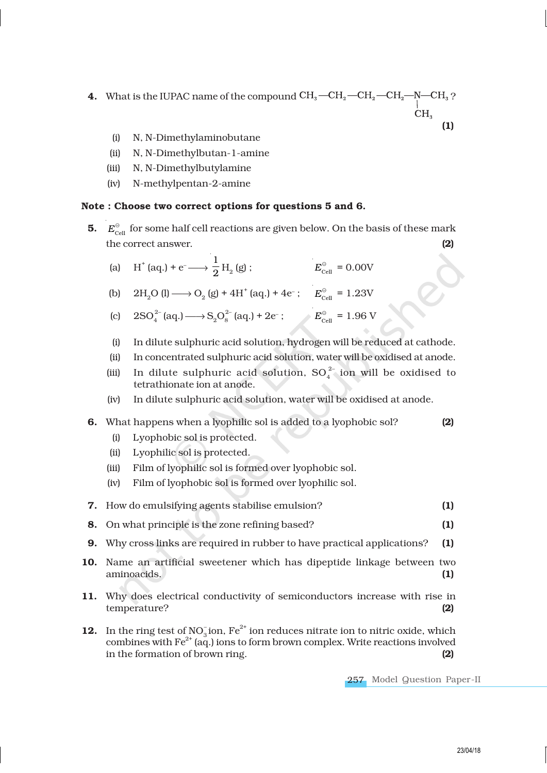- **4.** What is the IUPAC name of the compound  $\text{CH}_3$   $\text{CH}_2$   $\text{CH}_2$   $\text{CH}_2$   $\text{CH}_3$  ? (1)
	- (i) N, N-Dimethylaminobutane
	- (ii) N, N-Dimethylbutan-1-amine
	- (iii) N, N-Dimethylbutylamine
	- (iv) N-methylpentan-2-amine

# Note : Choose two correct options for questions 5 and 6.

- **5.**  $E_{\text{cell}}^{\ominus}$  for some half cell reactions are given below. On the basis of these mark the correct answer. (2)
	- (a) H<sup>+</sup> (aq.) + e<sup>-</sup>  $\longrightarrow$   $\frac{1}{2}$  $_2^{\rm -H}_{\rm 2}$ (g) ;  $E_{\text{cell}}^{\odot} = 0.00 \text{V}$

(b)  $2H_2O (l) \longrightarrow O_2 (g) + 4H^+ (aq.) + 4e^-;$   $E_{cell}^{\circ} = 1.23V$ 

- (c)  $2SO_4^{2-} (aq.) \longrightarrow S_2 O_8^{2-} (aq.) + 2e^-;$   $E_{cell}^{\circ} = 1.96 \text{ V}$
- (i) In dilute sulphuric acid solution, hydrogen will be reduced at cathode.
- (ii) In concentrated sulphuric acid solution, water will be oxidised at anode.
- (iii) In dilute sulphuric acid solution,  $SO_4^{2-}$  ion will be oxidised to tetrathionate ion at anode.
- (iv) In dilute sulphuric acid solution, water will be oxidised at anode.
- **6.** What happens when a lyophilic sol is added to a lyophobic sol? **(2)** 
	- (i) Lyophobic sol is protected.
	- (ii) Lyophilic sol is protected.
	- (iii) Film of lyophilic sol is formed over lyophobic sol.
	- (iv) Film of lyophobic sol is formed over lyophilic sol.
- 7. How do emulsifying agents stabilise emulsion? (1)
- 8. On what principle is the zone refining based? (1)
- 9. Why cross links are required in rubber to have practical applications? (1)
- 10. Name an artificial sweetener which has dipeptide linkage between two aminoacids. (1)
- 11. Why does electrical conductivity of semiconductors increase with rise in temperature?
- **12.** In the ring test of  $\text{NO}_3^-$  ion,  $\text{Fe}^{2+}$  ion reduces nitrate ion to nitric oxide, which combines with  $Fe^{2+}$  (aq.) ions to form brown complex. Write reactions involved in the formation of brown ring. (2)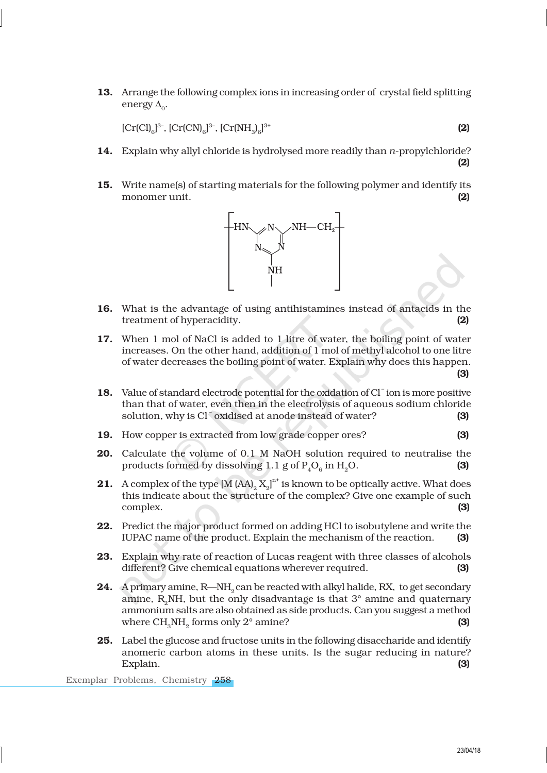13. Arrange the following complex ions in increasing order of crystal field splitting energy  $\Delta_0$ .

 $[Cr(Cl)]^{3-}$ ,  $[Cr(CN)]_6^{3-}$ ,  $[Cr(NH)]_6^{3-}$  $3^{+}$  (2)

- 14. Explain why allyl chloride is hydrolysed more readily than *n*-propylchloride?
- 15. Write name(s) of starting materials for the following polymer and identify its monomer unit. (2)



- 16. What is the advantage of using antihistamines instead of antacids in the treatment of hyperacidity.
- 17. When 1 mol of NaCl is added to 1 litre of water, the boiling point of water increases. On the other hand, addition of 1 mol of methyl alcohol to one litre of water decreases the boiling point of water. Explain why does this happen. (3)
- 18. Value of standard electrode potential for the oxidation of Cl<sup>-</sup> ion is more positive than that of water, even then in the electrolysis of aqueous sodium chloride solution, why is Cl<sup>-</sup>oxidised at anode instead of water? (3)
- 19. How copper is extracted from low grade copper ores? (3)
- 20. Calculate the volume of 0.1 M NaOH solution required to neutralise the products formed by dissolving  $1.1$  g of  $P_4O_6$  in  $H_2O$ . (3)
- **21.** A complex of the type  $[M (AA)_2 X_2]^{n^+}$  is known to be optically active. What does this indicate about the structure of the complex? Give one example of such complex. (3)
- 22. Predict the major product formed on adding HCl to isobutylene and write the IUPAC name of the product. Explain the mechanism of the reaction. (3)
- 23. Explain why rate of reaction of Lucas reagent with three classes of alcohols different? Give chemical equations wherever required. (3)
- **24.** A primary amine,  $R$ —NH<sub> $2$ </sub> can be reacted with alkyl halide, RX, to get secondary amine,  $R_{2}NH$ , but the only disadvantage is that  $3^{\circ}$  amine and quaternary ammonium salts are also obtained as side products. Can you suggest a method where  $\text{CH}_{3}\text{NH}_{2}$  forms only 2° amine? (3)
- 25. Label the glucose and fructose units in the following disaccharide and identify anomeric carbon atoms in these units. Is the sugar reducing in nature? Explain. **(3)** Explain. **(3)** Explaint of the state of the state of the state of the state of the state of the state of the state of the state of the state of the state of the state of the state of the state of the state o

Exemplar Problems, Chemistry 258

(2)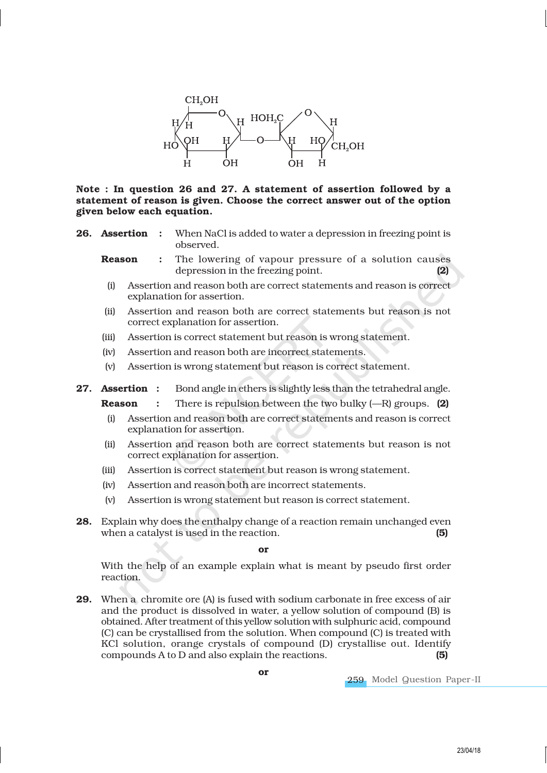

Note : In question 26 and 27. A statement of assertion followed by a statement of reason is given. Choose the correct answer out of the option given below each equation.

**26. Assertion** : When NaCl is added to water a depression in freezing point is observed.

**Reason** : The lowering of vapour pressure of a solution causes depression in the freezing point. (2)

- (i) Assertion and reason both are correct statements and reason is correct explanation for assertion.
- (ii) Assertion and reason both are correct statements but reason is not correct explanation for assertion.
- (iii) Assertion is correct statement but reason is wrong statement.
- (iv) Assertion and reason both are incorrect statements.
- (v) Assertion is wrong statement but reason is correct statement.

27. Assertion : Bond angle in ethers is slightly less than the tetrahedral angle.

**Reason** : There is repulsion between the two bulky  $(-R)$  groups. (2)

- (i) Assertion and reason both are correct statements and reason is correct explanation for assertion.
- (ii) Assertion and reason both are correct statements but reason is not correct explanation for assertion.
- (iii) Assertion is correct statement but reason is wrong statement.
- (iv) Assertion and reason both are incorrect statements.
- (v) Assertion is wrong statement but reason is correct statement.
- 28. Explain why does the enthalpy change of a reaction remain unchanged even when a catalyst is used in the reaction.  $(5)$

or

With the help of an example explain what is meant by pseudo first order reaction.

29. When a chromite ore (A) is fused with sodium carbonate in free excess of air and the product is dissolved in water, a yellow solution of compound (B) is obtained. After treatment of this yellow solution with sulphuric acid, compound (C) can be crystallised from the solution. When compound (C) is treated with KCl solution, orange crystals of compound (D) crystallise out. Identify compounds A to D and also explain the reactions. (5)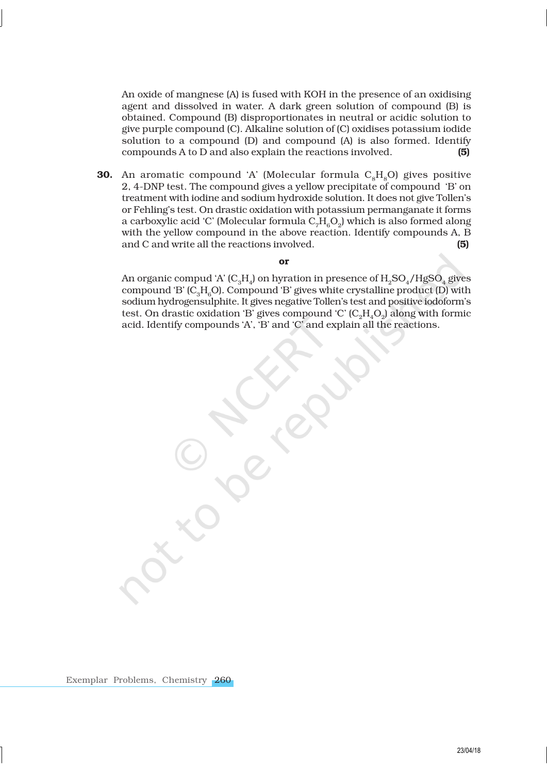An oxide of mangnese (A) is fused with KOH in the presence of an oxidising agent and dissolved in water. A dark green solution of compound (B) is obtained. Compound (B) disproportionates in neutral or acidic solution to give purple compound (C). Alkaline solution of (C) oxidises potassium iodide solution to a compound (D) and compound (A) is also formed. Identify compounds A to D and also explain the reactions involved. (5)

**30.** An aromatic compound 'A' (Molecular formula  $C_8H_8O$ ) gives positive 2, 4-DNP test. The compound gives a yellow precipitate of compound 'B' on treatment with iodine and sodium hydroxide solution. It does not give Tollen's or Fehling's test. On drastic oxidation with potassium permanganate it forms a carboxylic acid 'C' (Molecular formula  $\mathrm{C_7H_6O_2}$ ) which is also formed along with the yellow compound in the above reaction. Identify compounds A, B and C and write all the reactions involved. (5)

### or

An organic compud 'A' (C $_{3}$ H $_{4}$ ) on hyration in presence of H $_{2}$ SO $_{4}$ /HgSO $_{4}$  gives compound 'B'  $(C_5H_2O)$ . Compound 'B' gives white crystalline product  $(D)$  with sodium hydrogensulphite. It gives negative Tollen's test and positive iodoform's test. On drastic oxidation 'B' gives compound 'C' ( $\rm{C_2H_4O_2}$ ) along with formic acid. Identify compounds 'A', 'B' and 'C' and explain all the reactions.

Exemplar Problems, Chemistry 260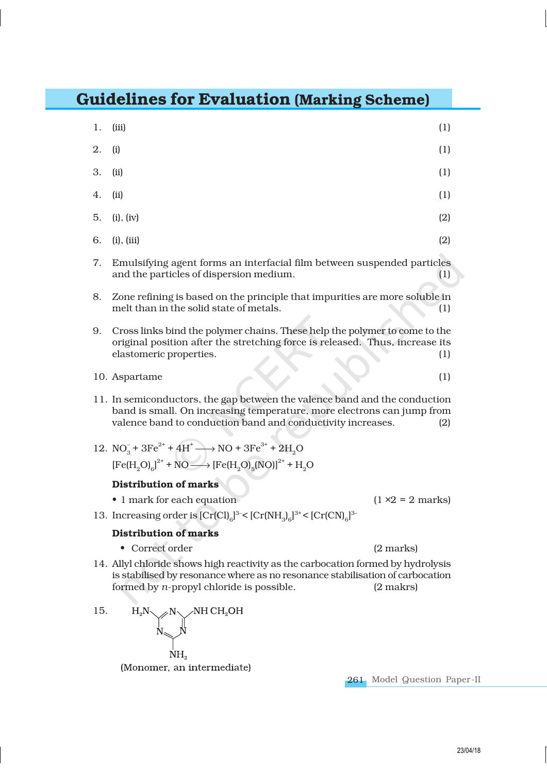# Guidelines for Evaluation (Marking Scheme)

1. (iii) (1)

| 2. | (i)                                                                                                                                                                                                                        | (1) |
|----|----------------------------------------------------------------------------------------------------------------------------------------------------------------------------------------------------------------------------|-----|
| 3. | (ii)                                                                                                                                                                                                                       | (1) |
| 4. | (ii)                                                                                                                                                                                                                       | (1) |
| 5. | (i), (iv)                                                                                                                                                                                                                  | (2) |
| 6. | (i), (iii)                                                                                                                                                                                                                 | (2) |
| 7. | Emulsifying agent forms an interfacial film between suspended particles<br>and the particles of dispersion medium.                                                                                                         | (1) |
| 8. | Zone refining is based on the principle that impurities are more soluble in<br>melt than in the solid state of metals.<br>(1)                                                                                              |     |
| 9. | Cross links bind the polymer chains. These help the polymer to come to the<br>original position after the stretching force is released. Thus, increase its<br>elastomeric properties.<br>(1)                               |     |
|    | 10. Aspartame                                                                                                                                                                                                              | (1) |
|    | 11. In semiconductors, the gap between the valence band and the conduction<br>band is small. On increasing temperature, more electrons can jump from<br>valence band to conduction band and conductivity increases.<br>(2) |     |
|    | 12. $NO_3^- + 3Fe^{2^+} + 4H^+ \longrightarrow NO + 3Fe^{3^+} + 2H_2O$<br>$[Fe(H, O)6]2+ + NO \longrightarrow [Fe(H, O)5(NO)]2+ + H2O$                                                                                     |     |

# Distribution of marks

- 1 mark for each equation  $(1 \times 2 = 2 \text{ marks})$
- 13. Increasing order is  $[Cr(Cl)]_6^{3-} < [Cr(NH)_6]^{3+} < [Cr(CN)]_6^{3-}$

# Distribution of marks

- Correct order (2 marks)
- 14. Allyl chloride shows high reactivity as the carbocation formed by hydrolysis is stabilised by resonance where as no resonance stabilisation of carbocation formed by  $n$ -propyl chloride is possible.  $(2 \text{ marks})$ formed by *n*-propyl chloride is possible.
- 15.  $H_2N$ NH CH<sub>2</sub>OH  $NH<sub>a</sub>$ (Monomer, an intermediate)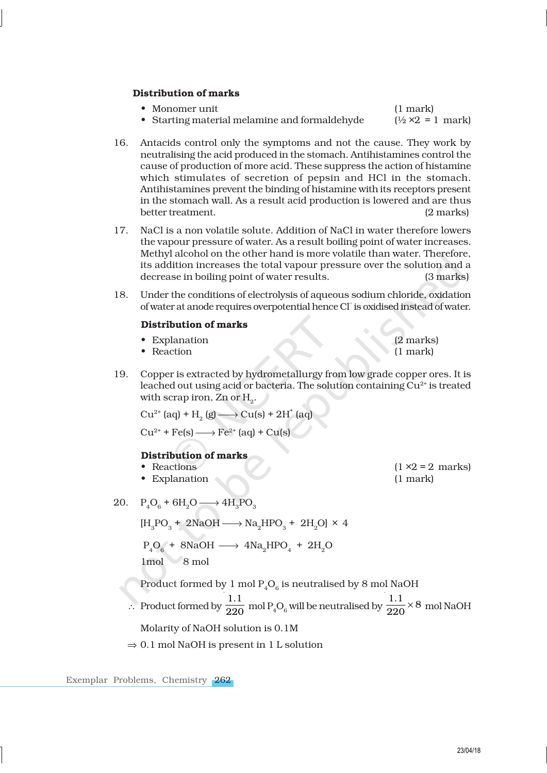# Distribution of marks

- Monomer unit (1 mark)
- Starting material melamine and formaldehyde  $(½ \times 2 = 1 \text{ mark})$

16. Antacids control only the symptoms and not the cause. They work by neutralising the acid produced in the stomach. Antihistamines control the cause of production of more acid. These suppress the action of histamine which stimulates of secretion of pepsin and HCl in the stomach. Antihistamines prevent the binding of histamine with its receptors present in the stomach wall. As a result acid production is lowered and are thus better treatment. (2 marks)

- 17. NaCl is a non volatile solute. Addition of NaCl in water therefore lowers the vapour pressure of water. As a result boiling point of water increases. Methyl alcohol on the other hand is more volatile than water. Therefore, its addition increases the total vapour pressure over the solution and a decrease in boiling point of water results. (3 marks)
- 18. Under the conditions of electrolysis of aqueous sodium chloride, oxidation of water at anode requires overpotential hence CI is oxidised instead of water.

### Distribution of marks

- Explanation (2 marks)
- $\bullet$  Reaction
- 19. Copper is extracted by hydrometallurgy from low grade copper ores. It is leached out using acid or bacteria. The solution containing  $Cu<sup>2+</sup>$  is treated with scrap iron, Zn or  $\mathrm{H}_{2}$ .

 $Cu^{2+}$  (aq) + H<sub>2</sub> (g)  $\longrightarrow Cu(s) + 2H^+(aq)$ 

 $Cu^{2+}$  + Fe(s)  $\longrightarrow$  Fe<sup>2+</sup> (aq) + Cu(s)

# Distribution of marks<br>• Reactions

- 
- Explanation (1 mark)
- 20.  $P_4O_6 + 6H_2O \longrightarrow 4H_3PO_3$

 $[H_3PO_3 + 2NaOH \longrightarrow Na_2HPO_3 + 2H_2O] \times 4$  $\rm P_4O_6$  + 8NaOH  $\longrightarrow$  4Na<sub>2</sub>HPO<sub>4</sub> + 2H<sub>2</sub>O 1mol 8 mol

- Product formed by 1 mol  $\mathrm{P}_4\mathrm{O}_6$  is neutralised by 8 mol NaOH
- ∴ Product formed by  $\frac{1.1}{200}$  $\frac{1.1}{220}$  mol P<sub>4</sub>O<sub>6</sub> will be neutralised by  $\frac{1.1}{220} \times 8$  $\frac{1.1}{220}$  × 8 mol NaOH

Molarity of NaOH solution is 0.1M

 $\Rightarrow$  0.1 mol NaOH is present in 1 L solution

Exemplar Problems, Chemistry 262

#### 23/04/18

 $(1 \times 2 = 2 \text{ marks})$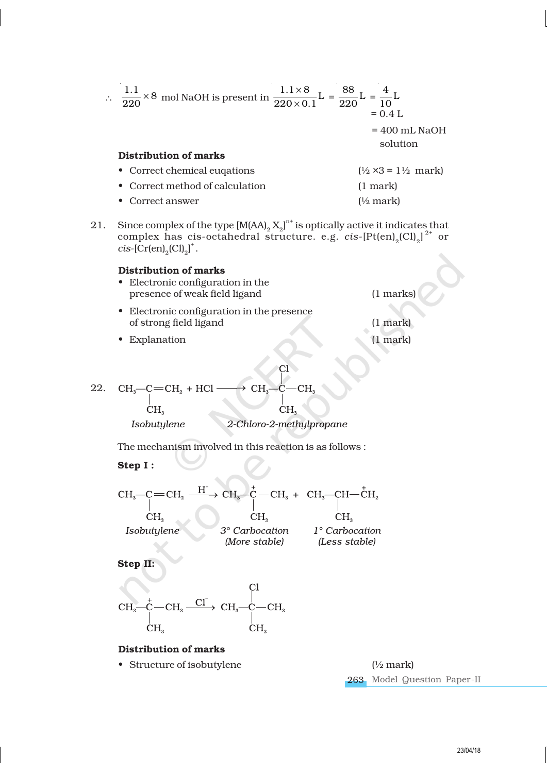| ∴ $\frac{1.1}{220} \times 8$ mol NaOH is present in $\frac{1.1 \times 8}{220 \times 0.1}$ L = $\frac{88}{220}$ L = $\frac{4}{10}$ L | $= 0.4 L$                                     |
|-------------------------------------------------------------------------------------------------------------------------------------|-----------------------------------------------|
|                                                                                                                                     | $= 400$ mL NaOH<br>solution                   |
| <b>Distribution of marks</b>                                                                                                        |                                               |
| • Correct chemical eugations                                                                                                        | $(\frac{1}{2} \times 3 = 1 \frac{1}{2}$ mark) |
| • Correct method of calculation                                                                                                     | $(1$ mark)                                    |
| Correct answer                                                                                                                      | $\frac{1}{2}$ mark)                           |

21. Since complex of the type  $[M(AA)<sub>2</sub> X<sub>2</sub>]<sup>n+</sup>$  is optically active it indicates that complex has cis-octahedral structure. e.g.  $cis$ - $[Pt(en)_2 [Cl]_2]$ <sup>2+</sup> or  $cis$ -[Cr(en)<sub>2</sub>(Cl)<sub>2</sub>]<sup>+</sup>.

# Distribution of marks

- Electronic configuration in the presence of weak field ligand (1 marks)
- Electronic configuration in the presence of strong field ligand (1 mark)
- Explanation (1 mark)

22. 
$$
CH_3-C=CH_2 + HCl \longrightarrow CH_3-C-CH_3
$$
  
\n $CH_3$  CH<sub>3</sub> CH<sub>3</sub>  
\nIsobutylene 2-Chloro-2-methylpropane

The mechanism involved in this reaction is as follows :

Step I :

$$
\begin{array}{ccc}\n\text{CH}_{3}\text{---}C\text{---}\text{CH}_{2} & \xrightarrow{\text{H}^{+}} \text{CH}_{3}\text{---}\text{CH}_{3} + & \text{CH}_{3}\text{---}\text{CH}_{2} & \text{CH}_{2} \\
\text{CH}_{3} & & \text{CH}_{3} & \text{CH}_{3} \\
\text{Isobutylene} & 3^{\circ}\text{Carbocation} & 1^{\circ}\text{Carbocation} \\
\text{(More stable)} & \text{(Less stable)}\n\end{array}
$$

Step II:



# Distribution of marks

• Structure of isobutylene (½ mark)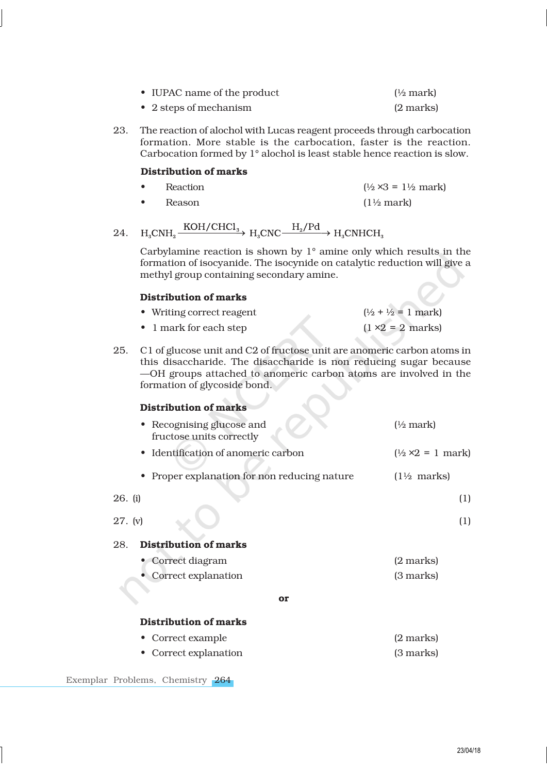| • IUPAC name of the product    | $\frac{1}{2}$ mark) |
|--------------------------------|---------------------|
| $\bullet$ 2 steps of mechanism | (2 marks)           |

23. The reaction of alochol with Lucas reagent proceeds through carbocation formation. More stable is the carbocation, faster is the reaction. Carbocation formed by 1° alochol is least stable hence reaction is slow.

# Distribution of marks

- Reaction  $(\frac{1}{2} \times 3 = 1\frac{1}{2} \text{ mark})$
- Reason (1½ mark)
- $H_3CNH_3 \xrightarrow{KOH/CHCl_3} H_3CNC \xrightarrow{H_2/Pd} H_3CNHCH_3$ 24.

Carbylamine reaction is shown by 1° amine only which results in the formation of isocyanide. The isocynide on catalytic reduction will give a methyl group containing secondary amine.

# Distribution of marks

| • Writing correct reagent | $(\frac{1}{2} + \frac{1}{2}) = 1$ mark) |
|---------------------------|-----------------------------------------|
| • 1 mark for each step    | $(1 \times 2 = 2$ marks)                |

25. C1 of glucose unit and C2 of fructose unit are anomeric carbon atoms in this disaccharide. The disaccharide is non reducing sugar because —OH groups attached to anomeric carbon atoms are involved in the formation of glycoside bond.

# Distribution of marks • Recognising glucose and (<sup>1/2</sup> mark) fructose units correctly • Identification of anomeric carbon  $(½ \times 2 = 1 \text{ mark})$ • Proper explanation for non reducing nature (1½ marks) 26. (i) (1) 27. (v) (1) 28. Distribution of marks • Correct diagram (2 marks) • Correct explanation (3 marks) or

# Distribution of marks

• Correct example (2 marks) • Correct explanation (3 marks)

Exemplar Problems, Chemistry 264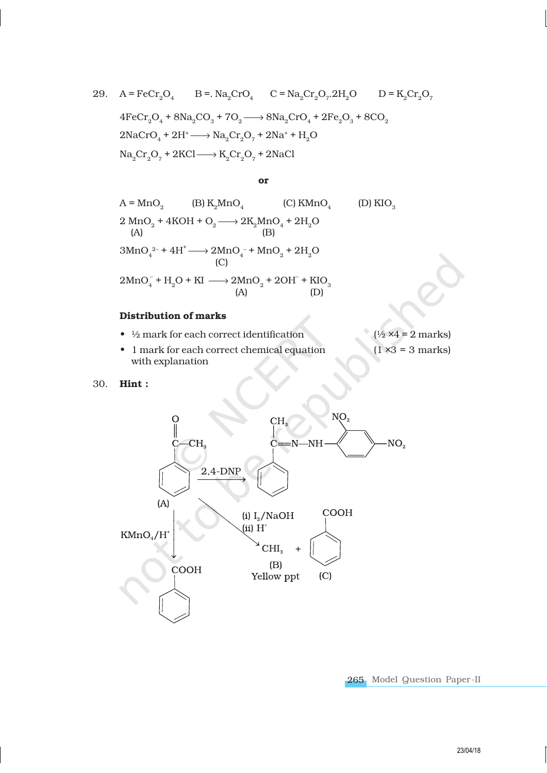29. 
$$
A = \text{FeCr}_2O_4
$$
  $B = \text{Na}_2\text{CrO}_4$   $C = \text{Na}_2\text{Cr}_2O_7$   $2H_2O$   $D = \text{K}_2\text{Cr}_2O_7$   $4\text{FeCr}_2O_4 + 8\text{Na}_2\text{CO}_3 + 7O_2 \longrightarrow 8\text{Na}_2\text{CrO}_4 + 2\text{Fe}_2O_3 + 8\text{CO}_2$   $2\text{NaCrO}_4 + 2\text{H}^+ \longrightarrow \text{Na}_2\text{Cr}_2O_7 + 2\text{Na}^+ + \text{H}_2\text{O}$   $\text{Na}_2\text{Cr}_2\text{O}_7 + 2\text{KCl} \longrightarrow \text{K}_2\text{Cr}_2\text{O}_7 + 2\text{NaCl}$ 

### or

A = MnO<sub>2</sub> (B) K<sub>2</sub>MnO<sub>4</sub> (C) KMnO<sub>4</sub> (D) KIO<sub>3</sub>  
\n2 MnO<sub>2</sub> + 4KOH + O<sub>2</sub> 
$$
\longrightarrow
$$
 2K<sub>2</sub>MnO<sub>4</sub> + 2H<sub>2</sub>O  
\n(A)  
\n3MnO<sub>4</sub><sup>2-</sup> + 4H<sup>+</sup>  $\longrightarrow$  2MnO<sub>4</sub><sup>-</sup> + MnO<sub>2</sub> + 2H<sub>2</sub>O  
\n(C)  
\n2MnO<sub>4</sub><sup>-</sup> + H<sub>2</sub>O + KI  $\longrightarrow$  2MnO<sub>2</sub> + 2OH<sup>-</sup> + KIO<sub>3</sub>  
\n(A) (D)

# Distribution of marks

- $\frac{1}{2}$  mark for each correct identification ( $\frac{1}{2}$  ×4 = 2 marks)
- 1 mark for each correct chemical equation  $(1 \times 3 = 3 \text{ marks})$ with explanation

30. Hint :